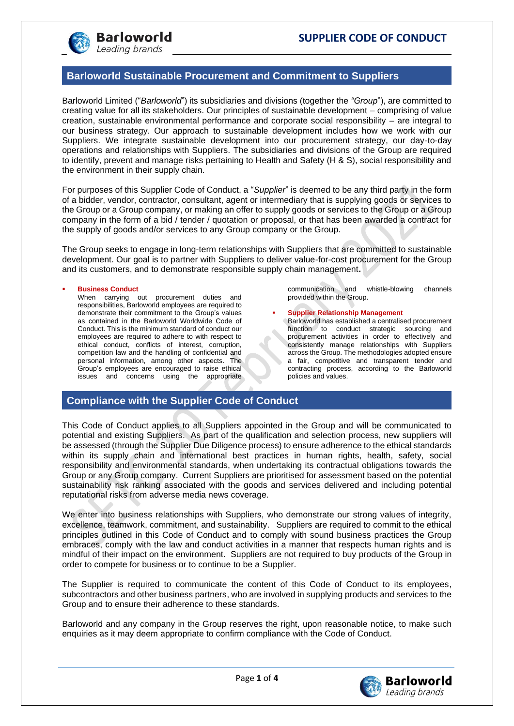

## **Barloworld Sustainable Procurement and Commitment to Suppliers**

Barloworld Limited ("*Barloworld*") its subsidiaries and divisions (together the *"Group*"), are committed to creating value for all its stakeholders. Our principles of sustainable development – comprising of value creation, sustainable environmental performance and corporate social responsibility – are integral to our business strategy. Our approach to sustainable development includes how we work with our Suppliers. We integrate sustainable development into our procurement strategy, our day-to-day operations and relationships with Suppliers. The subsidiaries and divisions of the Group are required to identify, prevent and manage risks pertaining to Health and Safety (H & S), social responsibility and the environment in their supply chain.

For purposes of this Supplier Code of Conduct, a "*Supplier*" is deemed to be any third party in the form of a bidder, vendor, contractor, consultant, agent or intermediary that is supplying goods or services to the Group or a Group company, or making an offer to supply goods or services to the Group or a Group company in the form of a bid / tender / quotation or proposal, or that has been awarded a contract for the supply of goods and/or services to any Group company or the Group.

The Group seeks to engage in long-term relationships with Suppliers that are committed to sustainable development. Our goal is to partner with Suppliers to deliver value-for-cost procurement for the Group and its customers, and to demonstrate responsible supply chain management**.**

#### **Business Conduct**

When carrying out procurement duties and responsibilities, Barloworld employees are required to demonstrate their commitment to the Group's values as contained in the Barloworld Worldwide Code of Conduct. This is the minimum standard of conduct our employees are required to adhere to with respect to ethical conduct, conflicts of interest, corruption, competition law and the handling of confidential and personal information, among other aspects. The Group's employees are encouraged to raise ethical issues and concerns using the appropriate communication and whistle-blowing channels provided within the Group.

**Supplier Relationship Management** Barloworld has established a centralised procurement function to conduct strategic sourcing and procurement activities in order to effectively and consistently manage relationships with Suppliers across the Group. The methodologies adopted ensure a fair, competitive and transparent tender and contracting process, according to the Barloworld policies and values.

## **Compliance with the Supplier Code of Conduct**

This Code of Conduct applies to all Suppliers appointed in the Group and will be communicated to potential and existing Suppliers. As part of the qualification and selection process, new suppliers will be assessed (through the Supplier Due Diligence process) to ensure adherence to the ethical standards within its supply chain and international best practices in human rights, health, safety, social responsibility and environmental standards, when undertaking its contractual obligations towards the Group or any Group company. Current Suppliers are prioritised for assessment based on the potential sustainability risk ranking associated with the goods and services delivered and including potential reputational risks from adverse media news coverage.

We enter into business relationships with Suppliers, who demonstrate our strong values of integrity, excellence, teamwork, commitment, and sustainability. Suppliers are required to commit to the ethical principles outlined in this Code of Conduct and to comply with sound business practices the Group embraces, comply with the law and conduct activities in a manner that respects human rights and is mindful of their impact on the environment. Suppliers are not required to buy products of the Group in order to compete for business or to continue to be a Supplier.

The Supplier is required to communicate the content of this Code of Conduct to its employees, subcontractors and other business partners, who are involved in supplying products and services to the Group and to ensure their adherence to these standards.

Barloworld and any company in the Group reserves the right, upon reasonable notice, to make such enquiries as it may deem appropriate to confirm compliance with the Code of Conduct.

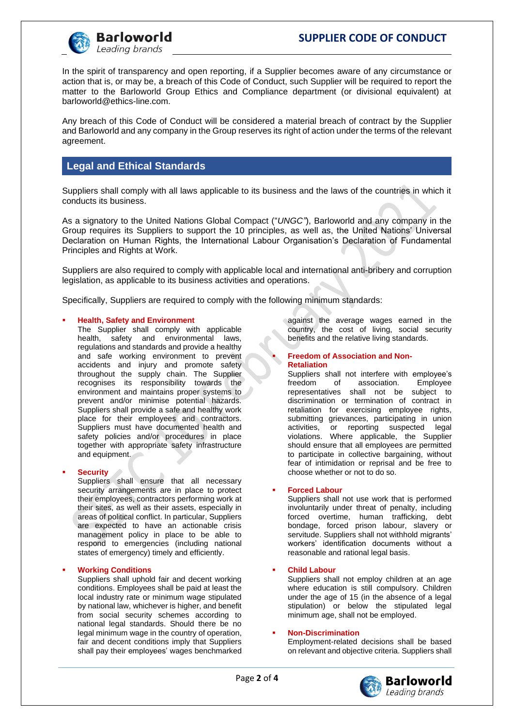

In the spirit of transparency and open reporting, if a Supplier becomes aware of any circumstance or action that is, or may be, a breach of this Code of Conduct, such Supplier will be required to report the matter to the Barloworld Group Ethics and Compliance department (or divisional equivalent) at barloworld@ethics-line.com.

Any breach of this Code of Conduct will be considered a material breach of contract by the Supplier and Barloworld and any company in the Group reserves its right of action under the terms of the relevant agreement.

# **Legal and Ethical Standards**

Suppliers shall comply with all laws applicable to its business and the laws of the countries in which it conducts its business.

As a signatory to the United Nations Global Compact ("*UNGC"*), Barloworld and any company in the Group requires its Suppliers to support the 10 principles, as well as, the United Nations' Universal Declaration on Human Rights, the International Labour Organisation's Declaration of Fundamental Principles and Rights at Work.

Suppliers are also required to comply with applicable local and international anti-bribery and corruption legislation, as applicable to its business activities and operations.

Specifically, Suppliers are required to comply with the following minimum standards:

### **Health, Safety and Environment**

The Supplier shall comply with applicable health, safety and environmental laws, regulations and standards and provide a healthy and safe working environment to prevent accidents and injury and promote safety throughout the supply chain. The Supplier recognises its responsibility towards the environment and maintains proper systems to prevent and/or minimise potential hazards. Suppliers shall provide a safe and healthy work place for their employees and contractors. Suppliers must have documented health and safety policies and/or procedures in place together with appropriate safety infrastructure and equipment.

#### **Security**

Suppliers shall ensure that all necessary security arrangements are in place to protect their employees, contractors performing work at their sites, as well as their assets, especially in areas of political conflict. In particular, Suppliers are expected to have an actionable crisis management policy in place to be able to respond to emergencies (including national states of emergency) timely and efficiently.

#### **Working Conditions**

Suppliers shall uphold fair and decent working conditions. Employees shall be paid at least the local industry rate or minimum wage stipulated by national law, whichever is higher, and benefit from social security schemes according to national legal standards. Should there be no legal minimum wage in the country of operation, fair and decent conditions imply that Suppliers shall pay their employees' wages benchmarked against the average wages earned in the country, the cost of living, social security benefits and the relative living standards.

### **Freedom of Association and Non-Retaliation**

Suppliers shall not interfere with employee's<br>freedom of association. Employee association. representatives shall not be subject to discrimination or termination of contract in retaliation for exercising employee rights, submitting grievances, participating in union<br>activities, or reporting suspected legal or reporting suspected legal violations. Where applicable, the Supplier should ensure that all employees are permitted to participate in collective bargaining, without fear of intimidation or reprisal and be free to choose whether or not to do so.

#### ▪ **Forced Labour**

Suppliers shall not use work that is performed involuntarily under threat of penalty, including forced overtime, human trafficking, debt bondage, forced prison labour, slavery or servitude. Suppliers shall not withhold migrants' workers' identification documents without a reasonable and rational legal basis.

#### **Child Labour**

Suppliers shall not employ children at an age where education is still compulsory. Children under the age of 15 (in the absence of a legal stipulation) or below the stipulated legal minimum age, shall not be employed.

#### ▪ **Non-Discrimination**

Employment-related decisions shall be based on relevant and objective criteria. Suppliers shall

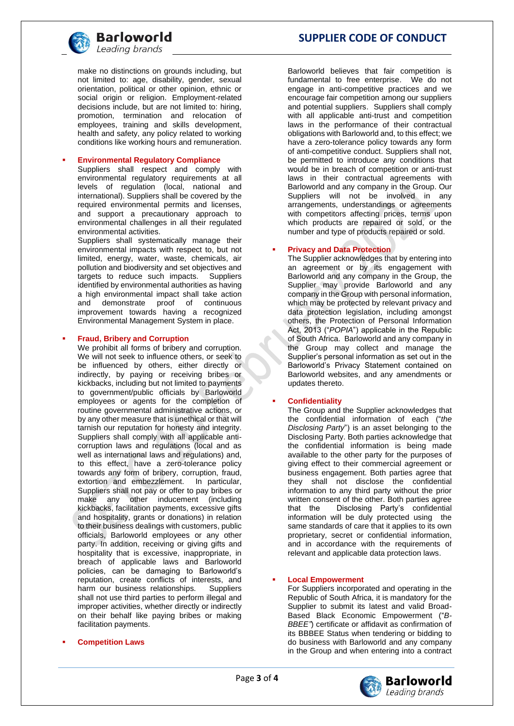

**Barloworld** Leading brands

make no distinctions on grounds including, but not limited to: age, disability, gender, sexual orientation, political or other opinion, ethnic or social origin or religion. Employment-related decisions include, but are not limited to: hiring, promotion, termination and relocation of employees, training and skills development, health and safety, any policy related to working conditions like working hours and remuneration.

#### **Environmental Regulatory Compliance**

Suppliers shall respect and comply with environmental regulatory requirements at all levels of regulation (local, national and international). Suppliers shall be covered by the required environmental permits and licenses, and support a precautionary approach to environmental challenges in all their regulated environmental activities.

Suppliers shall systematically manage their environmental impacts with respect to, but not limited, energy, water, waste, chemicals, air pollution and biodiversity and set objectives and targets to reduce such impacts. Suppliers identified by environmental authorities as having a high environmental impact shall take action demonstrate proof of continuous improvement towards having a recognized Environmental Management System in place.

#### **Fraud, Bribery and Corruption**

We prohibit all forms of bribery and corruption. We will not seek to influence others, or seek to be influenced by others, either directly or indirectly, by paying or receiving bribes or kickbacks, including but not limited to payments to government/public officials by Barloworld employees or agents for the completion of routine governmental administrative actions, or by any other measure that is unethical or that will tarnish our reputation for honesty and integrity. Suppliers shall comply with all applicable anticorruption laws and regulations (local and as well as international laws and regulations) and, to this effect, have a zero-tolerance policy towards any form of bribery, corruption, fraud, extortion and embezzlement. In particular, Suppliers shall not pay or offer to pay bribes or make any other inducement (including kickbacks, facilitation payments, excessive gifts and hospitality, grants or donations) in relation to their business dealings with customers, public officials, Barloworld employees or any other party. In addition, receiving or giving gifts and hospitality that is excessive, inappropriate, in breach of applicable laws and Barloworld policies, can be damaging to Barloworld's reputation, create conflicts of interests, and<br>harm our business relationships. Suppliers harm our business relationships. shall not use third parties to perform illegal and improper activities, whether directly or indirectly on their behalf like paying bribes or making facilitation payments.

**Competition Laws** 

# **SUPPLIER CODE OF CONDUCT**

Barloworld believes that fair competition is fundamental to free enterprise. We do not engage in anti-competitive practices and we encourage fair competition among our suppliers and potential suppliers. Suppliers shall comply with all applicable anti-trust and competition laws in the performance of their contractual obligations with Barloworld and, to this effect; we have a zero-tolerance policy towards any form of anti-competitive conduct. Suppliers shall not, be permitted to introduce any conditions that would be in breach of competition or anti-trust laws in their contractual agreements with Barloworld and any company in the Group. Our Suppliers will not be involved in any arrangements, understandings or agreements with competitors affecting prices, terms upon which products are repaired or sold, or the number and type of products repaired or sold.

#### **Privacy and Data Protection**

The Supplier acknowledges that by entering into an agreement or by its engagement with Barloworld and any company in the Group, the Supplier may provide Barloworld and any company in the Group with personal information, which may be protected by relevant privacy and data protection legislation, including amongst others, the Protection of Personal Information Act, 2013 ("*POPIA*") applicable in the Republic of South Africa. Barloworld and any company in the Group may collect and manage the Supplier's personal information as set out in the Barloworld's Privacy Statement contained on Barloworld websites, and any amendments or updates thereto.

#### ▪ **Confidentiality**

The Group and the Supplier acknowledges that the confidential information of each ("*the Disclosing Party*") is an asset belonging to the Disclosing Party. Both parties acknowledge that the confidential information is being made available to the other party for the purposes of giving effect to their commercial agreement or business engagement. Both parties agree that they shall not disclose the confidential information to any third party without the prior written consent of the other. Both parties agree<br>that the Disclosing Party's confidential Disclosing Party's confidential information will be duly protected using the same standards of care that it applies to its own proprietary, secret or confidential information, and in accordance with the requirements of relevant and applicable data protection laws.

#### **Local Empowerment**

For Suppliers incorporated and operating in the Republic of South Africa, it is mandatory for the Supplier to submit its latest and valid Broad-Based Black Economic Empowerment ("*B-BBEE"*) certificate or affidavit as confirmation of its BBBEE Status when tendering or bidding to do business with Barloworld and any company in the Group and when entering into a contract